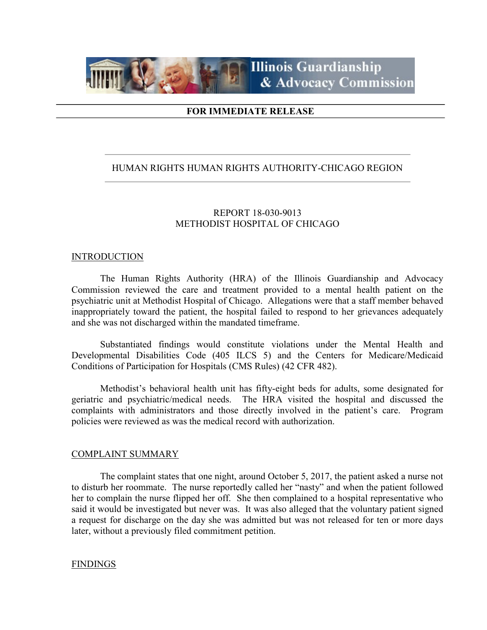

## FOR IMMEDIATE RELEASE

## HUMAN RIGHTS HUMAN RIGHTS AUTHORITY-CHICAGO REGION

# REPORT 18-030-9013 METHODIST HOSPITAL OF CHICAGO

#### INTRODUCTION

 The Human Rights Authority (HRA) of the Illinois Guardianship and Advocacy Commission reviewed the care and treatment provided to a mental health patient on the psychiatric unit at Methodist Hospital of Chicago. Allegations were that a staff member behaved inappropriately toward the patient, the hospital failed to respond to her grievances adequately and she was not discharged within the mandated timeframe.

 Substantiated findings would constitute violations under the Mental Health and Developmental Disabilities Code (405 ILCS 5) and the Centers for Medicare/Medicaid Conditions of Participation for Hospitals (CMS Rules) (42 CFR 482).

 Methodist's behavioral health unit has fifty-eight beds for adults, some designated for geriatric and psychiatric/medical needs. The HRA visited the hospital and discussed the complaints with administrators and those directly involved in the patient's care. Program policies were reviewed as was the medical record with authorization.

### COMPLAINT SUMMARY

 The complaint states that one night, around October 5, 2017, the patient asked a nurse not to disturb her roommate. The nurse reportedly called her "nasty" and when the patient followed her to complain the nurse flipped her off. She then complained to a hospital representative who said it would be investigated but never was. It was also alleged that the voluntary patient signed a request for discharge on the day she was admitted but was not released for ten or more days later, without a previously filed commitment petition.

### FINDINGS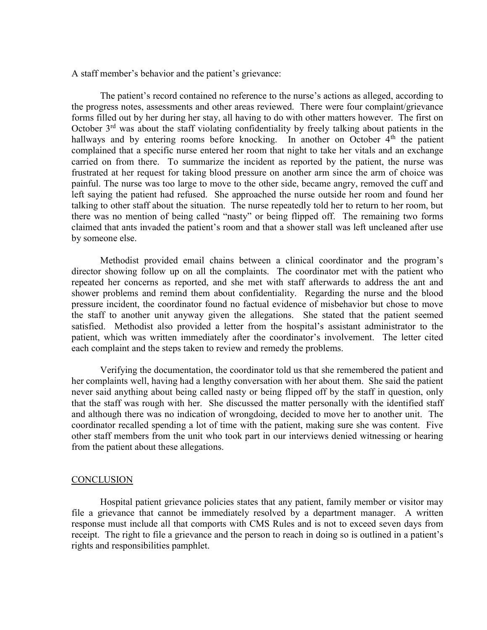A staff member's behavior and the patient's grievance:

The patient's record contained no reference to the nurse's actions as alleged, according to the progress notes, assessments and other areas reviewed. There were four complaint/grievance forms filled out by her during her stay, all having to do with other matters however. The first on October  $3<sup>rd</sup>$  was about the staff violating confidentiality by freely talking about patients in the hallways and by entering rooms before knocking. In another on October  $4<sup>th</sup>$  the patient complained that a specific nurse entered her room that night to take her vitals and an exchange carried on from there. To summarize the incident as reported by the patient, the nurse was frustrated at her request for taking blood pressure on another arm since the arm of choice was painful. The nurse was too large to move to the other side, became angry, removed the cuff and left saying the patient had refused. She approached the nurse outside her room and found her talking to other staff about the situation. The nurse repeatedly told her to return to her room, but there was no mention of being called "nasty" or being flipped off. The remaining two forms claimed that ants invaded the patient's room and that a shower stall was left uncleaned after use by someone else.

Methodist provided email chains between a clinical coordinator and the program's director showing follow up on all the complaints. The coordinator met with the patient who repeated her concerns as reported, and she met with staff afterwards to address the ant and shower problems and remind them about confidentiality. Regarding the nurse and the blood pressure incident, the coordinator found no factual evidence of misbehavior but chose to move the staff to another unit anyway given the allegations. She stated that the patient seemed satisfied. Methodist also provided a letter from the hospital's assistant administrator to the patient, which was written immediately after the coordinator's involvement. The letter cited each complaint and the steps taken to review and remedy the problems.

Verifying the documentation, the coordinator told us that she remembered the patient and her complaints well, having had a lengthy conversation with her about them. She said the patient never said anything about being called nasty or being flipped off by the staff in question, only that the staff was rough with her. She discussed the matter personally with the identified staff and although there was no indication of wrongdoing, decided to move her to another unit. The coordinator recalled spending a lot of time with the patient, making sure she was content. Five other staff members from the unit who took part in our interviews denied witnessing or hearing from the patient about these allegations.

#### **CONCLUSION**

 Hospital patient grievance policies states that any patient, family member or visitor may file a grievance that cannot be immediately resolved by a department manager. A written response must include all that comports with CMS Rules and is not to exceed seven days from receipt. The right to file a grievance and the person to reach in doing so is outlined in a patient's rights and responsibilities pamphlet.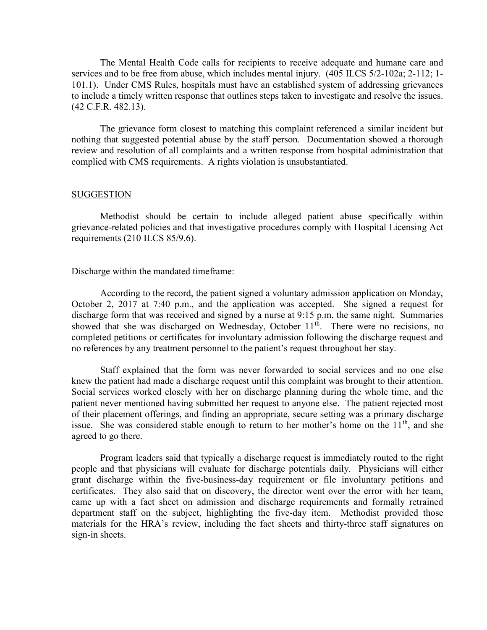The Mental Health Code calls for recipients to receive adequate and humane care and services and to be free from abuse, which includes mental injury. (405 ILCS 5/2-102a; 2-112; 1- 101.1). Under CMS Rules, hospitals must have an established system of addressing grievances to include a timely written response that outlines steps taken to investigate and resolve the issues. (42 C.F.R. 482.13).

 The grievance form closest to matching this complaint referenced a similar incident but nothing that suggested potential abuse by the staff person. Documentation showed a thorough review and resolution of all complaints and a written response from hospital administration that complied with CMS requirements. A rights violation is unsubstantiated.

#### SUGGESTION

 Methodist should be certain to include alleged patient abuse specifically within grievance-related policies and that investigative procedures comply with Hospital Licensing Act requirements (210 ILCS 85/9.6).

Discharge within the mandated timeframe:

 According to the record, the patient signed a voluntary admission application on Monday, October 2, 2017 at 7:40 p.m., and the application was accepted. She signed a request for discharge form that was received and signed by a nurse at 9:15 p.m. the same night. Summaries showed that she was discharged on Wednesday, October  $11<sup>th</sup>$ . There were no recisions, no completed petitions or certificates for involuntary admission following the discharge request and no references by any treatment personnel to the patient's request throughout her stay.

 Staff explained that the form was never forwarded to social services and no one else knew the patient had made a discharge request until this complaint was brought to their attention. Social services worked closely with her on discharge planning during the whole time, and the patient never mentioned having submitted her request to anyone else. The patient rejected most of their placement offerings, and finding an appropriate, secure setting was a primary discharge issue. She was considered stable enough to return to her mother's home on the  $11<sup>th</sup>$ , and she agreed to go there.

 Program leaders said that typically a discharge request is immediately routed to the right people and that physicians will evaluate for discharge potentials daily. Physicians will either grant discharge within the five-business-day requirement or file involuntary petitions and certificates. They also said that on discovery, the director went over the error with her team, came up with a fact sheet on admission and discharge requirements and formally retrained department staff on the subject, highlighting the five-day item. Methodist provided those materials for the HRA's review, including the fact sheets and thirty-three staff signatures on sign-in sheets.